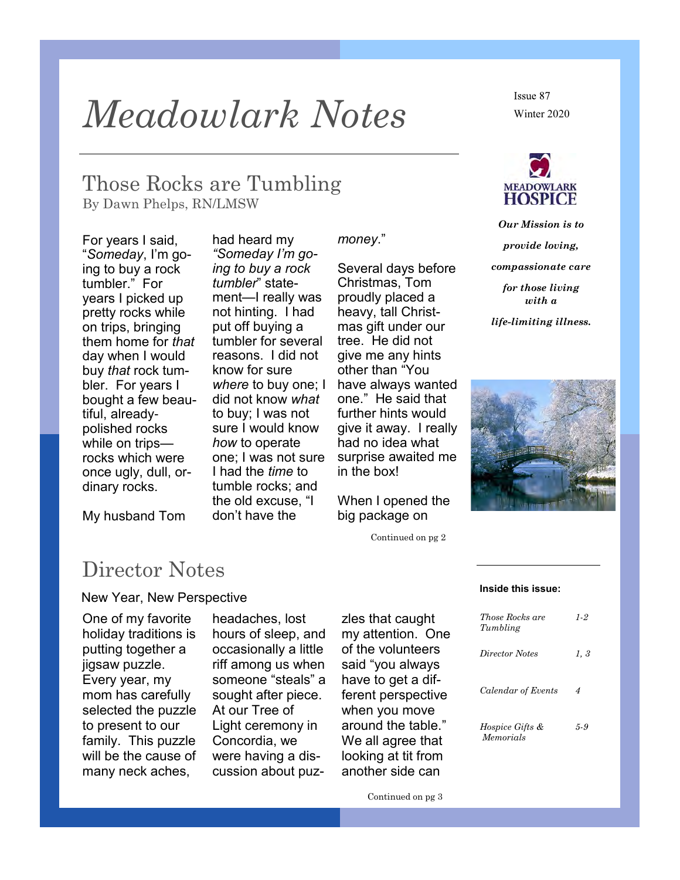## *Meadowlark Notes*

Those Rocks are Tumbling By Dawn Phelps, RN/LMSW

For years I said, "*Someday*, I'm going to buy a rock tumbler." For years I picked up pretty rocks while on trips, bringing them home for *that* day when I would buy *that* rock tumbler. For years I bought a few beautiful, alreadypolished rocks while on trips rocks which were once ugly, dull, ordinary rocks.

had heard my *"Someday I'm going to buy a rock tumbler*" statement—I really was not hinting. I had put off buying a tumbler for several reasons. I did not know for sure *where* to buy one; I did not know *what* to buy; I was not sure I would know *how* to operate one; I was not sure I had the *time* to tumble rocks; and the old excuse, "I don't have the

*money*."

Several days before Christmas, Tom proudly placed a heavy, tall Christmas gift under our tree. He did not give me any hints other than "You have always wanted one." He said that further hints would

give it away. I really had no idea what surprise awaited me in the box!

When I opened the big package on

Continued on pg 2

Issue 87 Winter 2020



*Our Mission is to provide loving, compassionate care for those living with a life-limiting illness.*

My husband Tom

### Director Notes

#### New Year, New Perspective

One of my favorite holiday traditions is putting together a jigsaw puzzle. Every year, my mom has carefully selected the puzzle to present to our family. This puzzle will be the cause of many neck aches,

headaches, lost hours of sleep, and occasionally a little riff among us when someone "steals" a sought after piece. At our Tree of Light ceremony in Concordia, we were having a discussion about puzzles that caught my attention. One of the volunteers said "you always have to get a different perspective when you move around the table." We all agree that looking at tit from another side can

#### **Inside this issue:**

| <i>Those Rocks are</i><br>Tumbling      | $1-2$ |
|-----------------------------------------|-------|
| Director Notes                          | 1,3   |
| Calendar of Events                      | 4     |
| <i>Hospice Gifts &amp;</i><br>Memorials | 5-9   |

Continued on pg 3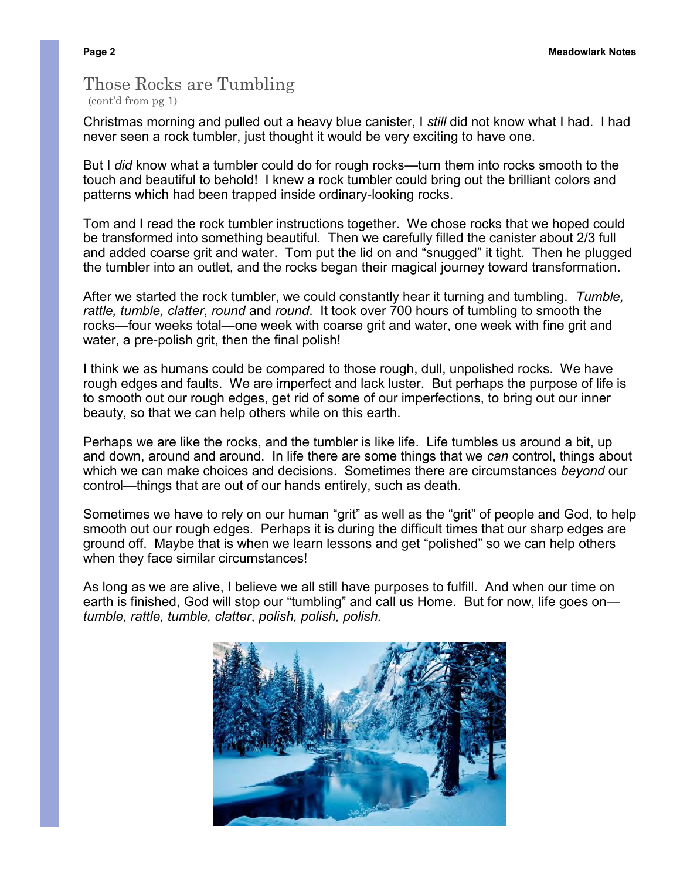#### Those Rocks are Tumbling (cont'd from pg 1)

Christmas morning and pulled out a heavy blue canister, I *still* did not know what I had. I had never seen a rock tumbler, just thought it would be very exciting to have one.

But I *did* know what a tumbler could do for rough rocks—turn them into rocks smooth to the touch and beautiful to behold! I knew a rock tumbler could bring out the brilliant colors and patterns which had been trapped inside ordinary-looking rocks.

Tom and I read the rock tumbler instructions together. We chose rocks that we hoped could be transformed into something beautiful. Then we carefully filled the canister about 2/3 full and added coarse grit and water. Tom put the lid on and "snugged" it tight. Then he plugged the tumbler into an outlet, and the rocks began their magical journey toward transformation.

After we started the rock tumbler, we could constantly hear it turning and tumbling. *Tumble, rattle, tumble, clatter*, *round* and *round*. It took over 700 hours of tumbling to smooth the rocks—four weeks total—one week with coarse grit and water, one week with fine grit and water, a pre-polish grit, then the final polish!

I think we as humans could be compared to those rough, dull, unpolished rocks. We have rough edges and faults. We are imperfect and lack luster. But perhaps the purpose of life is to smooth out our rough edges, get rid of some of our imperfections, to bring out our inner beauty, so that we can help others while on this earth.

Perhaps we are like the rocks, and the tumbler is like life. Life tumbles us around a bit, up and down, around and around. In life there are some things that we *can* control, things about which we can make choices and decisions. Sometimes there are circumstances *beyond* our control—things that are out of our hands entirely, such as death.

Sometimes we have to rely on our human "grit" as well as the "grit" of people and God, to help smooth out our rough edges. Perhaps it is during the difficult times that our sharp edges are ground off. Maybe that is when we learn lessons and get "polished" so we can help others when they face similar circumstances!

As long as we are alive, I believe we all still have purposes to fulfill. And when our time on earth is finished, God will stop our "tumbling" and call us Home. But for now, life goes on *tumble, rattle, tumble, clatter*, *polish, polish, polish.*

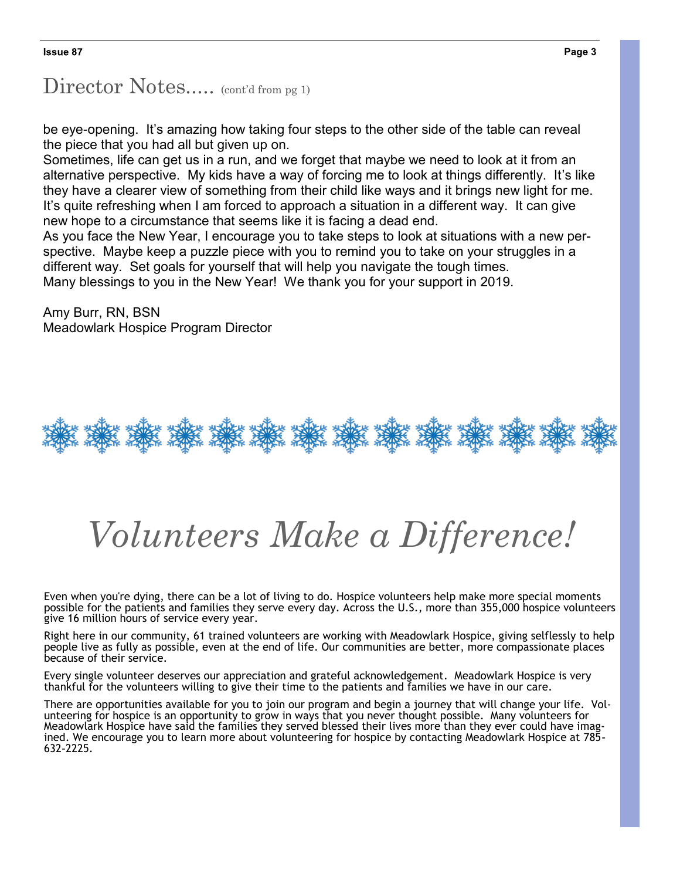### Director Notes..... (cont'd from pg 1)

be eye-opening. It's amazing how taking four steps to the other side of the table can reveal the piece that you had all but given up on.

Sometimes, life can get us in a run, and we forget that maybe we need to look at it from an alternative perspective. My kids have a way of forcing me to look at things differently. It's like they have a clearer view of something from their child like ways and it brings new light for me. It's quite refreshing when I am forced to approach a situation in a different way. It can give new hope to a circumstance that seems like it is facing a dead end.

As you face the New Year, I encourage you to take steps to look at situations with a new perspective. Maybe keep a puzzle piece with you to remind you to take on your struggles in a different way. Set goals for yourself that will help you navigate the tough times. Many blessings to you in the New Year! We thank you for your support in 2019.

Amy Burr, RN, BSN Meadowlark Hospice Program Director



# *Volunteers Make a Difference!*

Even when you're dying, there can be a lot of living to do. Hospice volunteers help make more special moments possible for the patients and families they serve every day. Across the U.S., more than 355,000 hospice volunteers give 16 million hours of service every year.

Right here in our community, 61 trained volunteers are working with Meadowlark Hospice, giving selflessly to help people live as fully as possible, even at the end of life. Our communities are better, more compassionate places because of their service.

Every single volunteer deserves our appreciation and grateful acknowledgement. Meadowlark Hospice is very thankful for the volunteers willing to give their time to the patients and families we have in our care.

There are opportunities available for you to join our program and begin a journey that will change your life. Volunteering for hospice is an opportunity to grow in ways that you never thought possible. Many volunteers for Meadowlark Hospice have said the families they served blessed their lives more than they ever could have imagined. We encourage you to learn more about volunteering for hospice by contacting Meadowlark Hospice at 785- 632-2225.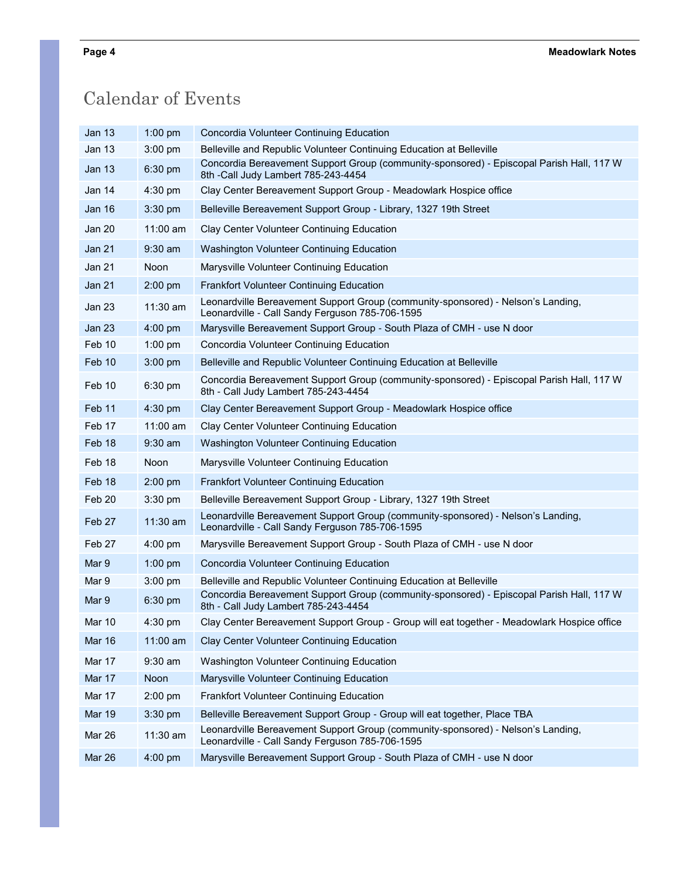## Calendar of Events

| Jan 13            | $1:00$ pm  | Concordia Volunteer Continuing Education                                                                                            |
|-------------------|------------|-------------------------------------------------------------------------------------------------------------------------------------|
| Jan 13            | 3:00 pm    | Belleville and Republic Volunteer Continuing Education at Belleville                                                                |
| <b>Jan 13</b>     | 6:30 pm    | Concordia Bereavement Support Group (community-sponsored) - Episcopal Parish Hall, 117 W<br>8th -Call Judy Lambert 785-243-4454     |
| Jan 14            | $4:30$ pm  | Clay Center Bereavement Support Group - Meadowlark Hospice office                                                                   |
| Jan 16            | 3:30 pm    | Belleville Bereavement Support Group - Library, 1327 19th Street                                                                    |
| Jan 20            | 11:00 am   | Clay Center Volunteer Continuing Education                                                                                          |
| Jan 21            | $9:30$ am  | Washington Volunteer Continuing Education                                                                                           |
| Jan 21            | Noon       | Marysville Volunteer Continuing Education                                                                                           |
| Jan 21            | 2:00 pm    | <b>Frankfort Volunteer Continuing Education</b>                                                                                     |
| <b>Jan 23</b>     | 11:30 am   | Leonardville Bereavement Support Group (community-sponsored) - Nelson's Landing,<br>Leonardville - Call Sandy Ferguson 785-706-1595 |
| Jan 23            | 4:00 pm    | Marysville Bereavement Support Group - South Plaza of CMH - use N door                                                              |
| Feb 10            | $1:00$ pm  | Concordia Volunteer Continuing Education                                                                                            |
| Feb 10            | $3:00$ pm  | Belleville and Republic Volunteer Continuing Education at Belleville                                                                |
| Feb 10            | 6:30 pm    | Concordia Bereavement Support Group (community-sponsored) - Episcopal Parish Hall, 117 W<br>8th - Call Judy Lambert 785-243-4454    |
| Feb <sub>11</sub> | $4:30$ pm  | Clay Center Bereavement Support Group - Meadowlark Hospice office                                                                   |
| Feb 17            | 11:00 am   | Clay Center Volunteer Continuing Education                                                                                          |
| Feb 18            | $9:30$ am  | Washington Volunteer Continuing Education                                                                                           |
| Feb 18            | Noon       | Marysville Volunteer Continuing Education                                                                                           |
| Feb 18            | 2:00 pm    | <b>Frankfort Volunteer Continuing Education</b>                                                                                     |
| Feb 20            | 3:30 pm    | Belleville Bereavement Support Group - Library, 1327 19th Street                                                                    |
| Feb 27            | $11:30$ am | Leonardville Bereavement Support Group (community-sponsored) - Nelson's Landing,<br>Leonardville - Call Sandy Ferguson 785-706-1595 |
| Feb 27            | $4:00$ pm  | Marysville Bereavement Support Group - South Plaza of CMH - use N door                                                              |
| Mar 9             | $1:00$ pm  | Concordia Volunteer Continuing Education                                                                                            |
| Mar 9             | $3:00$ pm  | Belleville and Republic Volunteer Continuing Education at Belleville                                                                |
| Mar 9             | 6:30 pm    | Concordia Bereavement Support Group (community-sponsored) - Episcopal Parish Hall, 117 W<br>8th - Call Judy Lambert 785-243-4454    |
| Mar 10            | 4:30 pm    | Clay Center Bereavement Support Group - Group will eat together - Meadowlark Hospice office                                         |
| <b>Mar 16</b>     | $11:00$ am | Clay Center Volunteer Continuing Education                                                                                          |
| Mar 17            | $9:30$ am  | Washington Volunteer Continuing Education                                                                                           |
| Mar 17            | Noon       | Marysville Volunteer Continuing Education                                                                                           |
| Mar 17            | 2:00 pm    | Frankfort Volunteer Continuing Education                                                                                            |
| <b>Mar 19</b>     | 3:30 pm    | Belleville Bereavement Support Group - Group will eat together, Place TBA                                                           |
| Mar 26            | $11:30$ am | Leonardville Bereavement Support Group (community-sponsored) - Nelson's Landing,<br>Leonardville - Call Sandy Ferguson 785-706-1595 |
| Mar 26            | 4:00 pm    | Marysville Bereavement Support Group - South Plaza of CMH - use N door                                                              |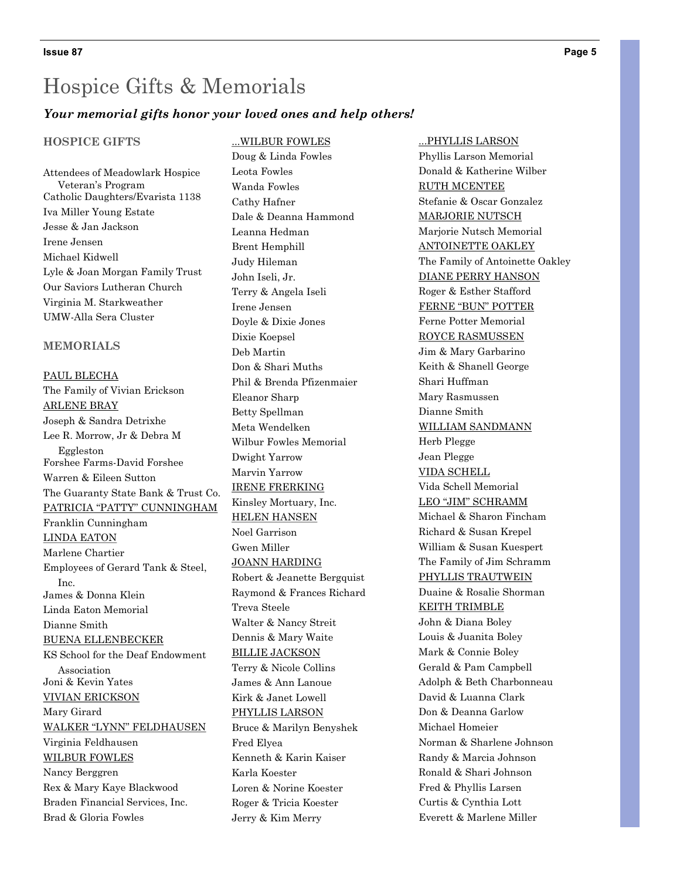#### *Your memorial gifts honor your loved ones and help others!*

#### **HOSPICE GIFTS**

Attendees of Meadowlark Hospice Veteran's Program Catholic Daughters/Evarista 1138 Iva Miller Young Estate Jesse & Jan Jackson Irene Jensen Michael Kidwell Lyle & Joan Morgan Family Trust Our Saviors Lutheran Church Virginia M. Starkweather UMW-Alla Sera Cluster

#### **MEMORIALS**

PAUL BLECHA The Family of Vivian Erickson ARLENE BRAY Joseph & Sandra Detrixhe Lee R. Morrow, Jr & Debra M Eggleston Forshee Farms-David Forshee Warren & Eileen Sutton The Guaranty State Bank & Trust Co. PATRICIA "PATTY" CUNNINGHAM Franklin Cunningham LINDA EATON Marlene Chartier Employees of Gerard Tank & Steel, Inc. James & Donna Klein Linda Eaton Memorial Dianne Smith BUENA ELLENBECKER KS School for the Deaf Endowment Association Joni & Kevin Yates VIVIAN ERICKSON Mary Girard WALKER "LYNN" FELDHAUSEN Virginia Feldhausen WILBUR FOWLES Nancy Berggren Rex & Mary Kaye Blackwood Braden Financial Services, Inc. Brad & Gloria Fowles

...WILBUR FOWLES Doug & Linda Fowles Leota Fowles Wanda Fowles Cathy Hafner Dale & Deanna Hammond Leanna Hedman Brent Hemphill Judy Hileman John Iseli, Jr. Terry & Angela Iseli Irene Jensen Doyle & Dixie Jones Dixie Koepsel Deb Martin Don & Shari Muths Phil & Brenda Pfizenmaier Eleanor Sharp Betty Spellman Meta Wendelken Wilbur Fowles Memorial Dwight Yarrow Marvin Yarrow IRENE FRERKING Kinsley Mortuary, Inc. HELEN HANSEN Noel Garrison Gwen Miller JOANN HARDING Robert & Jeanette Bergquist Raymond & Frances Richard Treva Steele Walter & Nancy Streit Dennis & Mary Waite BILLIE JACKSON Terry & Nicole Collins James & Ann Lanoue Kirk & Janet Lowell PHYLLIS LARSON Bruce & Marilyn Benyshek Fred Elyea Kenneth & Karin Kaiser Karla Koester Loren & Norine Koester Roger & Tricia Koester Jerry & Kim Merry

...PHYLLIS LARSON Phyllis Larson Memorial Donald & Katherine Wilber RUTH MCENTEE Stefanie & Oscar Gonzalez MARJORIE NUTSCH Marjorie Nutsch Memorial ANTOINETTE OAKLEY The Family of Antoinette Oakley DIANE PERRY HANSON Roger & Esther Stafford FERNE "BUN" POTTER Ferne Potter Memorial ROYCE RASMUSSEN Jim & Mary Garbarino Keith & Shanell George Shari Huffman Mary Rasmussen Dianne Smith WILLIAM SANDMANN Herb Plegge Jean Plegge VIDA SCHELL Vida Schell Memorial LEO "JIM" SCHRAMM Michael & Sharon Fincham Richard & Susan Krepel William & Susan Kuespert The Family of Jim Schramm PHYLLIS TRAUTWEIN Duaine & Rosalie Shorman KEITH TRIMBLE John & Diana Boley Louis & Juanita Boley Mark & Connie Boley Gerald & Pam Campbell Adolph & Beth Charbonneau David & Luanna Clark Don & Deanna Garlow Michael Homeier Norman & Sharlene Johnson Randy & Marcia Johnson Ronald & Shari Johnson Fred & Phyllis Larsen Curtis & Cynthia Lott Everett & Marlene Miller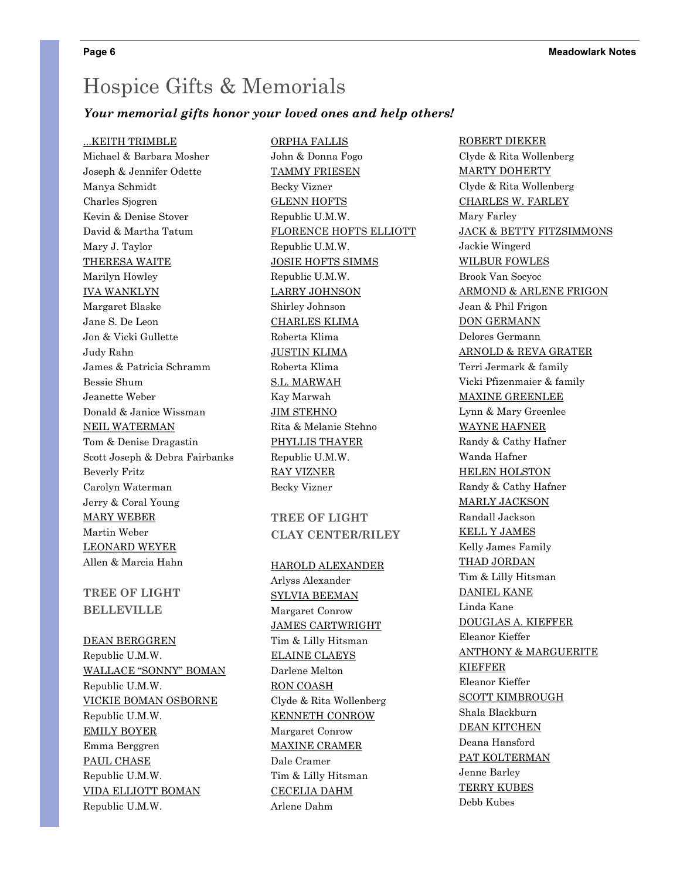#### *Your memorial gifts honor your loved ones and help others!*

ORPHA FALLIS

#### ...KEITH TRIMBLE

Michael & Barbara Mosher Joseph & Jennifer Odette Manya Schmidt Charles Sjogren Kevin & Denise Stover David & Martha Tatum Mary J. Taylor THERESA WAITE Marilyn Howley IVA WANKLYN Margaret Blaske Jane S. De Leon Jon & Vicki Gullette Judy Rahn James & Patricia Schramm Bessie Shum Jeanette Weber Donald & Janice Wissman NEIL WATERMAN Tom & Denise Dragastin Scott Joseph & Debra Fairbanks Beverly Fritz Carolyn Waterman Jerry & Coral Young MARY WEBER Martin Weber LEONARD WEYER Allen & Marcia Hahn

#### **TREE OF LIGHT BELLEVILLE**

DEAN BERGGREN Republic U.M.W. WALLACE "SONNY" BOMAN Republic U.M.W. VICKIE BOMAN OSBORNE Republic U.M.W. EMILY BOYER Emma Berggren PAUL CHASE Republic U.M.W. VIDA ELLIOTT BOMAN Republic U.M.W.

John & Donna Fogo TAMMY FRIESEN Becky Vizner GLENN HOFTS Republic U.M.W. FLORENCE HOFTS ELLIOTT Republic U.M.W. JOSIE HOFTS SIMMS Republic U.M.W. LARRY JOHNSON Shirley Johnson CHARLES KLIMA Roberta Klima JUSTIN KLIMA Roberta Klima S.L. MARWAH Kay Marwah JIM STEHNO Rita & Melanie Stehno PHYLLIS THAYER Republic U.M.W. RAY VIZNER Becky Vizner

#### **TREE OF LIGHT CLAY CENTER/RILEY**

#### HAROLD ALEXANDER

Arlyss Alexander SYLVIA BEEMAN Margaret Conrow JAMES CARTWRIGHT Tim & Lilly Hitsman ELAINE CLAEYS Darlene Melton RON COASH Clyde & Rita Wollenberg KENNETH CONROW Margaret Conrow MAXINE CRAMER Dale Cramer Tim & Lilly Hitsman CECELIA DAHM Arlene Dahm

ROBERT DIEKER Clyde & Rita Wollenberg MARTY DOHERTY Clyde & Rita Wollenberg CHARLES W. FARLEY Mary Farley JACK & BETTY FITZSIMMONS Jackie Wingerd WILBUR FOWLES Brook Van Socyoc ARMOND & ARLENE FRIGON Jean & Phil Frigon DON GERMANN Delores Germann ARNOLD & REVA GRATER Terri Jermark & family Vicki Pfizenmaier & family MAXINE GREENLEE Lynn & Mary Greenlee WAYNE HAFNER Randy & Cathy Hafner Wanda Hafner HELEN HOLSTON Randy & Cathy Hafner MARLY JACKSON Randall Jackson KELL Y JAMES Kelly James Family THAD JORDAN Tim & Lilly Hitsman DANIEL KANE Linda Kane DOUGLAS A. KIEFFER Eleanor Kieffer ANTHONY & MARGUERITE KIEFFER Eleanor Kieffer SCOTT KIMBROUGH Shala Blackburn DEAN KITCHEN Deana Hansford PAT KOLTERMAN Jenne Barley TERRY KUBES Debb Kubes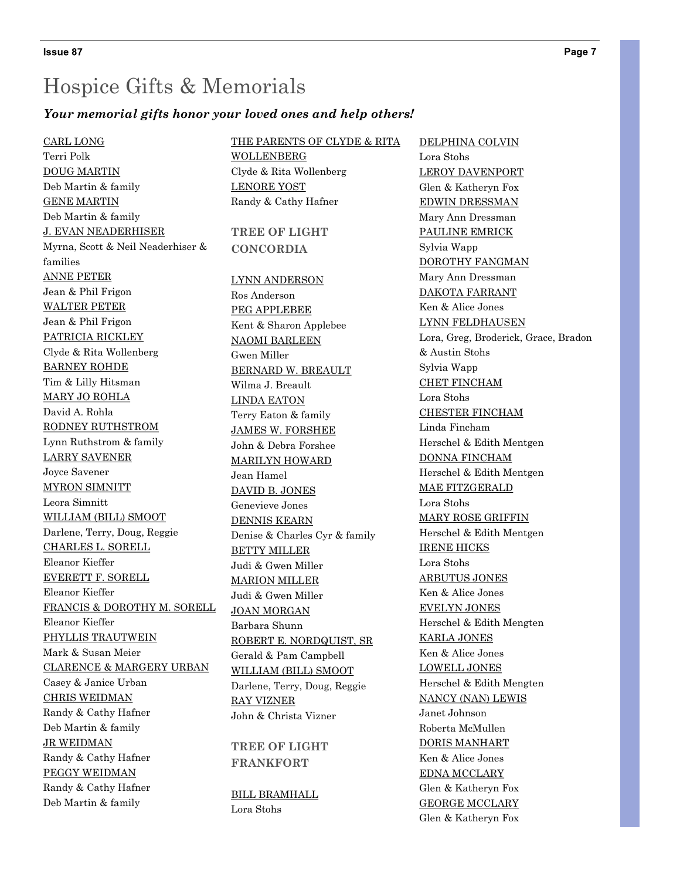#### *Your memorial gifts honor your loved ones and help others!*

CARL LONG Terri Polk DOUG MARTIN Deb Martin & family GENE MARTIN Deb Martin & family J. EVAN NEADERHISER Myrna, Scott & Neil Neaderhiser & families ANNE PETER Jean & Phil Frigon WALTER PETER Jean & Phil Frigon PATRICIA RICKLEY Clyde & Rita Wollenberg BARNEY ROHDE Tim & Lilly Hitsman MARY JO ROHLA David A. Rohla RODNEY RUTHSTROM Lynn Ruthstrom & family LARRY SAVENER Joyce Savener MYRON SIMNITT Leora Simnitt WILLIAM (BILL) SMOOT Darlene, Terry, Doug, Reggie CHARLES L. SORELL Eleanor Kieffer EVERETT F. SORELL Eleanor Kieffer FRANCIS & DOROTHY M. SORELL Eleanor Kieffer PHYLLIS TRAUTWEIN Mark & Susan Meier CLARENCE & MARGERY URBAN Casey & Janice Urban CHRIS WEIDMAN Randy & Cathy Hafner Deb Martin & family JR WEIDMAN Randy & Cathy Hafner PEGGY WEIDMAN Randy & Cathy Hafner Deb Martin & family

THE PARENTS OF CLYDE & RITA WOLLENBERG Clyde & Rita Wollenberg LENORE YOST Randy & Cathy Hafner **TREE OF LIGHT CONCORDIA** LYNN ANDERSON Ros Anderson PEG APPLEBEE Kent & Sharon Applebee NAOMI BARLEEN Gwen Miller BERNARD W. BREAULT Wilma J. Breault LINDA EATON Terry Eaton & family JAMES W. FORSHEE John & Debra Forshee MARILYN HOWARD Jean Hamel DAVID B. JONES Genevieve Jones DENNIS KEARN Denise & Charles Cyr & family BETTY MILLER Judi & Gwen Miller MARION MILLER Judi & Gwen Miller JOAN MORGAN Barbara Shunn ROBERT E. NORDQUIST, SR Gerald & Pam Campbell WILLIAM (BILL) SMOOT Darlene, Terry, Doug, Reggie RAY VIZNER John & Christa Vizner

**TREE OF LIGHT FRANKFORT**

BILL BRAMHALL Lora Stohs

DELPHINA COLVIN Lora Stohs LEROY DAVENPORT Glen & Katheryn Fox EDWIN DRESSMAN Mary Ann Dressman PAULINE EMRICK Sylvia Wapp DOROTHY FANGMAN Mary Ann Dressman DAKOTA FARRANT Ken & Alice Jones LYNN FELDHAUSEN Lora, Greg, Broderick, Grace, Bradon & Austin Stohs Sylvia Wapp CHET FINCHAM Lora Stohs CHESTER FINCHAM Linda Fincham Herschel & Edith Mentgen DONNA FINCHAM Herschel & Edith Mentgen MAE FITZGERALD Lora Stohs MARY ROSE GRIFFIN Herschel & Edith Mentgen IRENE HICKS Lora Stohs ARBUTUS JONES Ken & Alice Jones EVELYN JONES Herschel & Edith Mengten KARLA JONES Ken & Alice Jones LOWELL JONES Herschel & Edith Mengten NANCY (NAN) LEWIS Janet Johnson Roberta McMullen DORIS MANHART Ken & Alice Jones EDNA MCCLARY Glen & Katheryn Fox GEORGE MCCLARY Glen & Katheryn Fox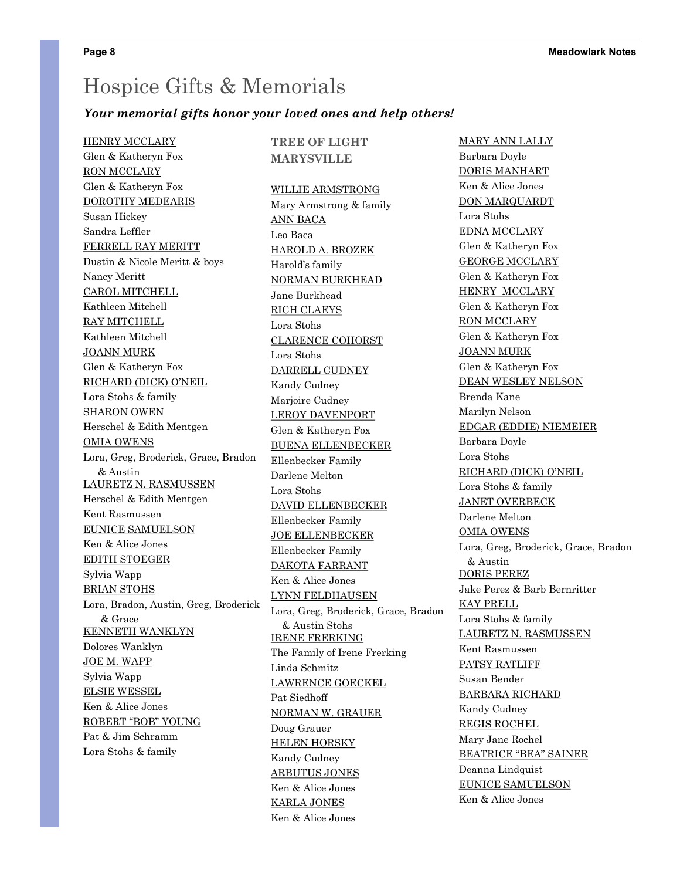#### *Your memorial gifts honor your loved ones and help others!*

HENRY MCCLARY Glen & Katheryn Fox RON MCCLARY Glen & Katheryn Fox DOROTHY MEDEARIS Susan Hickey Sandra Leffler FERRELL RAY MERITT Dustin & Nicole Meritt & boys Nancy Meritt CAROL MITCHELL Kathleen Mitchell RAY MITCHELL Kathleen Mitchell JOANN MURK Glen & Katheryn Fox RICHARD (DICK) O'NEIL Lora Stohs & family SHARON OWEN Herschel & Edith Mentgen OMIA OWENS Lora, Greg, Broderick, Grace, Bradon & Austin LAURETZ N. RASMUSSEN Herschel & Edith Mentgen Kent Rasmussen EUNICE SAMUELSON Ken & Alice Jones EDITH STOEGER Sylvia Wapp BRIAN STOHS Lora, Bradon, Austin, Greg, Broderick & Grace KENNETH WANKLYN Dolores Wanklyn JOE M. WAPP Sylvia Wapp ELSIE WESSEL Ken & Alice Jones ROBERT "BOB" YOUNG Pat & Jim Schramm Lora Stohs & family

#### **TREE OF LIGHT MARYSVILLE**

#### WILLIE ARMSTRONG

Mary Armstrong & family ANN BACA Leo Baca HAROLD A. BROZEK Harold's family NORMAN BURKHEAD Jane Burkhead RICH CLAEYS Lora Stohs CLARENCE COHORST Lora Stohs DARRELL CUDNEY Kandy Cudney Marjoire Cudney LEROY DAVENPORT Glen & Katheryn Fox BUENA ELLENBECKER Ellenbecker Family Darlene Melton Lora Stohs DAVID ELLENBECKER Ellenbecker Family JOE ELLENBECKER Ellenbecker Family DAKOTA FARRANT Ken & Alice Jones LYNN FELDHAUSEN Lora, Greg, Broderick, Grace, Bradon & Austin Stohs IRENE FRERKING The Family of Irene Frerking Linda Schmitz LAWRENCE GOECKEL Pat Siedhoff NORMAN W. GRAUER Doug Grauer HELEN HORSKY Kandy Cudney ARBUTUS JONES Ken & Alice Jones KARLA JONES Ken & Alice Jones

MARY ANN LALLY Barbara Doyle DORIS MANHART Ken & Alice Jones DON MARQUARDT Lora Stohs EDNA MCCLARY Glen & Katheryn Fox GEORGE MCCLARY Glen & Katheryn Fox HENRY MCCLARY Glen & Katheryn Fox RON MCCLARY Glen & Katheryn Fox JOANN MURK Glen & Katheryn Fox DEAN WESLEY NELSON Brenda Kane Marilyn Nelson EDGAR (EDDIE) NIEMEIER Barbara Doyle Lora Stohs RICHARD (DICK) O'NEIL Lora Stohs & family JANET OVERBECK Darlene Melton OMIA OWENS Lora, Greg, Broderick, Grace, Bradon & Austin DORIS PEREZ Jake Perez & Barb Bernritter KAY PRELL Lora Stohs & family LAURETZ N. RASMUSSEN Kent Rasmussen PATSY RATLIFF Susan Bender BARBARA RICHARD Kandy Cudney REGIS ROCHEL Mary Jane Rochel BEATRICE "BEA" SAINER Deanna Lindquist EUNICE SAMUELSON Ken & Alice Jones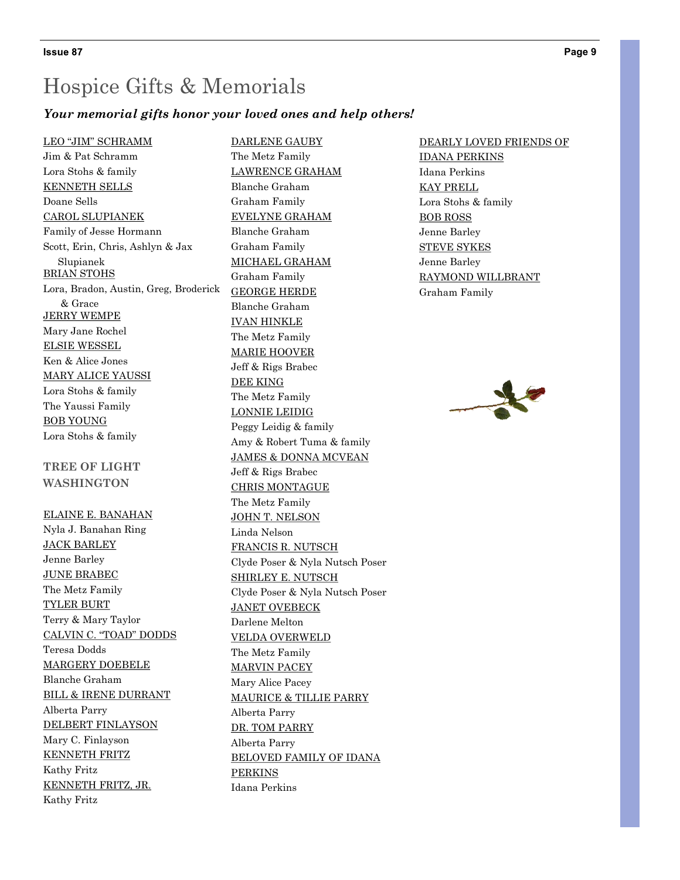#### *Your memorial gifts honor your loved ones and help others!*

#### LEO "JIM" SCHRAMM

Jim & Pat Schramm Lora Stohs & family KENNETH SELLS Doane Sells CAROL SLUPIANEK Family of Jesse Hormann Scott, Erin, Chris, Ashlyn & Jax Slupianek **BRIAN STOHS** Lora, Bradon, Austin, Greg, Broderick & Grace JERRY WEMPE Mary Jane Rochel ELSIE WESSEL Ken & Alice Jones MARY ALICE YAUSSI Lora Stohs & family The Yaussi Family BOB YOUNG Lora Stohs & family

#### **TREE OF LIGHT WASHINGTON**

#### ELAINE E. BANAHAN

Nyla J. Banahan Ring JACK BARLEY Jenne Barley JUNE BRABEC The Metz Family TYLER BURT Terry & Mary Taylor CALVIN C. "TOAD" DODDS Teresa Dodds MARGERY DOEBELE Blanche Graham BILL & IRENE DURRANT Alberta Parry DELBERT FINLAYSON Mary C. Finlayson KENNETH FRITZ Kathy Fritz KENNETH FRITZ, JR. Kathy Fritz

DARLENE GAUBY The Metz Family LAWRENCE GRAHAM Blanche Graham Graham Family EVELYNE GRAHAM Blanche Graham Graham Family MICHAEL GRAHAM Graham Family GEORGE HERDE Blanche Graham IVAN HINKLE The Metz Family MARIE HOOVER Jeff & Rigs Brabec DEE KING The Metz Family LONNIE LEIDIG Peggy Leidig & family Amy & Robert Tuma & family JAMES & DONNA MCVEAN Jeff & Rigs Brabec CHRIS MONTAGUE The Metz Family JOHN T. NELSON Linda Nelson FRANCIS R. NUTSCH Clyde Poser & Nyla Nutsch Poser SHIRLEY E. NUTSCH Clyde Poser & Nyla Nutsch Poser JANET OVEBECK Darlene Melton VELDA OVERWELD The Metz Family MARVIN PACEY Mary Alice Pacey MAURICE & TILLIE PARRY Alberta Parry DR. TOM PARRY Alberta Parry BELOVED FAMILY OF IDANA PERKINS Idana Perkins

#### DEARLY LOVED FRIENDS OF

IDANA PERKINS Idana Perkins KAY PRELL Lora Stohs & family BOB ROSS Jenne Barley STEVE SYKES Jenne Barley RAYMOND WILLBRANT Graham Family